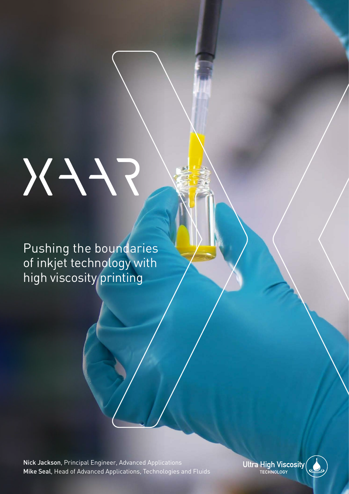# FFX

Pushing the boundaries of inkjet technology with high viscosity printing

Nick Jackson, Principal Engineer, Advanced Applications Mike Seal, Head of Advanced Applications, Technologies and Fluids Ultra High Viscosity

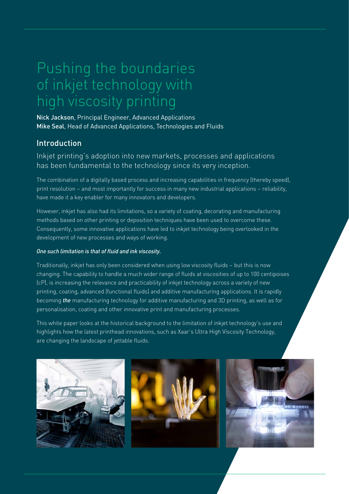# Pushing the boundaries of inkjet technology with high viscosity printing

Nick Jackson, Principal Engineer, Advanced Applications Mike Seal, Head of Advanced Applications, Technologies and Fluids

### Introduction

### Inkjet printing's adoption into new markets, processes and applications has been fundamental to the technology since its very inception.

The combination of a digitally based process and increasing capabilities in frequency (thereby speed), print resolution – and most importantly for success in many new industrial applications – reliability, have made it a key enabler for many innovators and developers.

However, inkjet has also had its limitations, so a variety of coating, decorating and manufacturing methods based on other printing or deposition techniques have been used to overcome these. Consequently, some innovative applications have led to inkjet technology being overlooked in the development of new processes and ways of working.

### *One such limitation is that of fluid and ink viscosity.*

Traditionally, inkjet has only been considered when using low viscosity fluids – but this is now changing. The capability to handle a much wider range of fluids at viscosities of up to 100 centipoises (cP), is increasing the relevance and practicability of inkjet technology across a variety of new printing, coating, advanced (functional fluids) and additive manufacturing applications. It is rapidly becoming *the* manufacturing technology for additive manufacturing and 3D printing, as well as for personalisation, coating and other innovative print and manufacturing processes.

This white paper looks at the historical background to the limitation of inkjet technology's use and highlights how the latest printhead innovations, such as Xaar's Ultra High Viscosity Technology, are changing the landscape of jettable fluids.

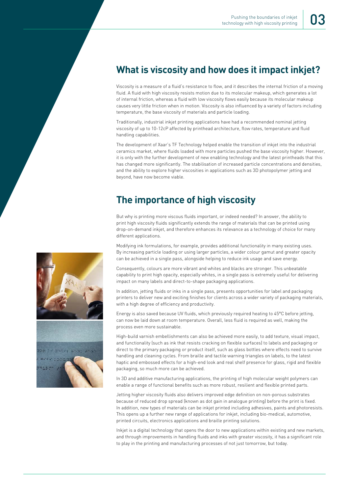## **What is viscosity and how does it impact inkjet?**

Viscosity is a measure of a fluid's resistance to flow, and it describes the internal friction of a moving fluid. A fluid with high viscosity resists motion due to its molecular makeup, which generates a lot of internal friction, whereas a fluid with low viscosity flows easily because its molecular makeup causes very little friction when in motion. Viscosity is also influenced by a variety of factors including temperature, the base viscosity of materials and particle loading.

Traditionally, industrial inkjet printing applications have had a recommended nominal jetting viscosity of up to 10-12cP affected by printhead architecture, flow rates, temperature and fluid handling capabilities.

The development of Xaar's TF Technology helped enable the transition of inkjet into the industrial ceramics market, where fluids loaded with more particles pushed the base viscosity higher. However, it is only with the further development of new enabling technology and the latest printheads that this has changed more significantly. The stabilisation of increased particle concentrations and densities, and the ability to explore higher viscosities in applications such as 3D photopolymer jetting and beyond, have now become viable.

### **The importance of high viscosity**

But why is printing more viscous fluids important, or indeed needed? In answer, the ability to print high viscosity fluids significantly extends the range of materials that can be printed using drop-on-demand inkjet, and therefore enhances its relevance as a technology of choice for many different applications.

Modifying ink formulations, for example, provides additional functionality in many existing uses. By increasing particle loading or using larger particles, a wider colour gamut and greater opacity can be achieved in a single pass, alongside helping to reduce ink usage and save energy.

Consequently, colours are more vibrant and whites and blacks are stronger. This unbeatable capability to print high opacity, especially whites, in a single pass is extremely useful for delivering impact on many labels and direct-to-shape packaging applications.

In addition, jetting fluids or inks in a single pass, presents opportunities for label and packaging printers to deliver new and exciting finishes for clients across a wider variety of packaging materials, with a high degree of efficiency and productivity.

Energy is also saved because UV fluids, which previously required heating to 45°C before jetting, can now be laid down at room temperature. Overall, less fluid is required as well, making the process even more sustainable.

High-build varnish embellishments can also be achieved more easily, to add texture, visual impact, and functionality (such as ink that resists cracking on flexible surfaces) to labels and packaging or direct to the primary packaging or product itself, such as glass bottles where effects need to survive handling and cleaning cycles. From braille and tactile warning triangles on labels, to the latest haptic and embossed effects for a high-end look and real shelf presence for glass, rigid and flexible packaging, so much more can be achieved.

In 3D and additive manufacturing applications, the printing of high molecular weight polymers can enable a range of functional benefits such as more robust, resilient and flexible printed parts.

Jetting higher viscosity fluids also delivers improved edge definition on non-porous substrates because of reduced drop spread (known as dot gain in analogue printing) before the print is fixed. In addition, new types of materials can be inkjet printed including adhesives, paints and photoresists. This opens up a further new range of applications for inkjet, including bio-medical, automotive, printed circuits, electronics applications and braille printing solutions.

Inkjet is a digital technology that opens the door to new applications within existing and new markets, and through improvements in handling fluids and inks with greater viscosity, it has a significant role to play in the printing and manufacturing processes of not just tomorrow, but today.

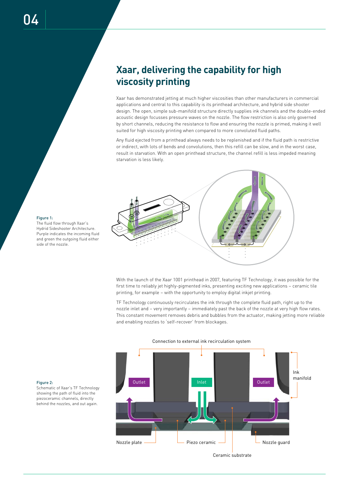# **Xaar, delivering the capability for high viscosity printing**

Xaar has demonstrated jetting at much higher viscosities than other manufacturers in commercial applications and central to this capability is its printhead architecture, and hybrid side shooter design. The open, simple sub-manifold structure directly supplies ink channels and the double-ended acoustic design focusses pressure waves on the nozzle. The flow restriction is also only governed by short channels, reducing the resistance to flow and ensuring the nozzle is primed, making it well suited for high viscosity printing when compared to more convoluted fluid paths.

Any fluid ejected from a printhead always needs to be replenished and if the fluid path is restrictive or indirect, with lots of bends and convolutions, then this refill can be slow, and in the worst case, result in starvation. With an open printhead structure, the channel refill is less impeded meaning starvation is less likely.



With the launch of the Xaar 1001 printhead in 2007, featuring TF Technology, it was possible for the first time to reliably jet highly-pigmented inks, presenting exciting new applications – ceramic tile printing, for example – with the opportunity to employ digital inkjet printing.

TF Technology continuously recirculates the ink through the complete fluid path, right up to the nozzle inlet and – very importantly – immediately past the back of the nozzle at very high flow rates. This constant movement removes debris and bubbles from the actuator, making jetting more reliable and enabling nozzles to 'self-recover' from blockages.



Figure 2:

Schematic of Xaar's TF Technology showing the path of fluid into the piezoceramic channels, directly behind the nozzles, and out again.

Ceramic substrate

### The fluid flow through Xaar's Hydrid Sideshooter Architecture. Purple indicates the incoming fluid and green the outgoing fluid either

Figure 1:

side of the nozzle.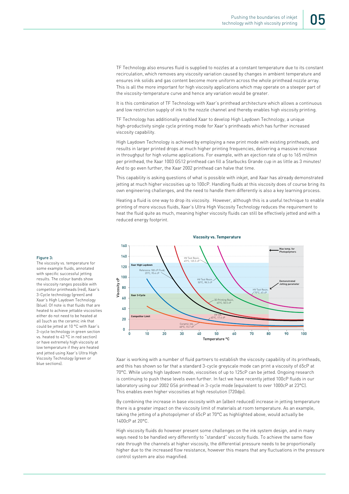TF Technology also ensures fluid is supplied to nozzles at a constant temperature due to its constant recirculation, which removes any viscosity variation caused by changes in ambient temperature and ensures ink solids and gas content become more uniform across the whole printhead nozzle array. This is all the more important for high viscosity applications which may operate on a steeper part of the viscosity-temperature curve and hence any variation would be greater.

It is this combination of TF Technology with Xaar's printhead architecture which allows a continuous and low restriction supply of ink to the nozzle channel and thereby enables high viscosity printing.

TF Technology has additionally enabled Xaar to develop High Laydown Technology, a unique high-productivity single cycle printing mode for Xaar's printheads which has further increased viscosity capability.

High Laydown Technology is achieved by employing a new print mode with existing printheads, and results in larger printed drops at much higher printing frequencies, delivering a massive increase in throughput for high volume applications. For example, with an ejection rate of up to 165 ml/min per printhead, the Xaar 1003 GS12 printhead can fill a Starbucks Grande cup in as little as 3 minutes! And to go even further, the Xaar 2002 printhead can halve that time.

This capability is asking questions of what is possible with inkjet, and Xaar has already demonstrated jetting at much higher viscosities up to 100cP. Handling fluids at this viscosity does of course bring its own engineering challenges, and the need to handle them differently is also a key learning process.

Heating a fluid is one way to drop its viscosity. However, although this is a useful technique to enable printing of more viscous fluids, Xaar's Ultra High Viscosity Technology reduces the requirement to heat the fluid quite as much, meaning higher viscosity fluids can still be effectively jetted and with a reduced energy footprint.



Xaar is working with a number of fluid partners to establish the viscosity capability of its printheads, and this has shown so far that a standard 3-cycle greyscale mode can print a viscosity of 65cP at 70°C. While using high laydown mode, viscosities of up to 125cP can be jetted. Ongoing research is continuing to push these levels even further. In fact we have recently jetted 100cP fluids in our laboratory using our 2002 GS6 printhead in 3-cycle mode (equivalent to over 1000cP at 23°C). This enables even higher viscosities at high resolution (720dpi).

By combining the increase in base viscosity with an (albeit reduced) increase in jetting temperature there is a greater impact on the viscosity limit of materials at room temperature. As an example, taking the jetting of a photopolymer of 65cP at 70°C as highlighted above, would actually be 1400cP at 20°C.

High viscosity fluids do however present some challenges on the ink system design, and in many ways need to be handled very differently to "standard" viscosity fluids. To achieve the same flow rate through the channels at higher viscosity, the differential pressure needs to be proportionally higher due to the increased flow resistance, however this means that any fluctuations in the pressure control system are also magnified.

### Figure 3:

The viscosity vs. temperature for some example fluids, annotated with specific successful jetting results. The colour bands show the viscosity ranges possible with competitor printheads (red), Xaar's 3-Cycle technology (green) and Xaar's High Laydown Technology (blue). Of note is that fluids that are heated to achieve jettable viscosities either do not need to be heated at all (such as the ceramic ink that could be jetted at 10 °C with Xaar's 3-cycle technology in green section vs. heated to 43 °C in red section) or have extremely high viscosity at low temperature if they are heated and jetted using Xaar's Ultra High Viscosity Technology (green or blue sections).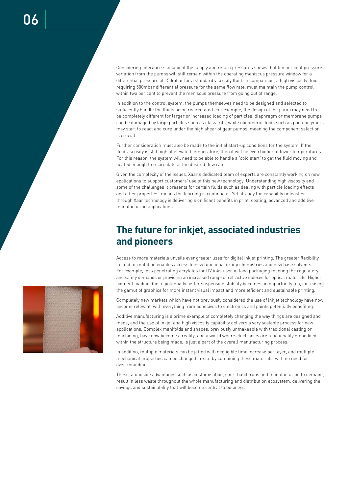Considering tolerance stacking of the supply and return pressures shows that ten per cent pressure variation from the pumps will still remain within the operating meniscus pressure window for a differential pressure of 150mbar for a standard viscosity fluid. In comparison, a high viscosity fluid requiring 500mbar differential pressure for the same flow rate, must maintain the pump control within two per cent to prevent the meniscus pressure from going out of range.

In addition to the control system, the pumps themselves need to be designed and selected to sufficiently handle the fluids being recirculated. For example, the design of the pump may need to be completely different for larger or increased loading of particles; diaphragm or membrane pumps can be damaged by large particles such as glass frits, while oligomeric fluids such as photopolymers may start to react and cure under the high shear of gear pumps, meaning the component selection is crucial.

Further consideration must also be made to the initial start-up conditions for the system. If the fluid viscosity is still high at elevated temperature, then it will be even higher at lower temperatures. For this reason, the system will need to be able to handle a 'cold start' to get the fluid moving and heated enough to recirculate at the desired flow rate.

Given the complexity of the issues, Xaar's dedicated team of experts are constantly working on new applications to support customers' use of this new technology. Understanding high viscosity and some of the challenges it presents for certain fluids such as dealing with particle loading effects and other properties, means the learning is continuous. Yet already the capability unleashed through Xaar technology is delivering significant benefits in print, coating, advanced and additive manufacturing applications.

# **The future for inkjet, associated industries and pioneers**

Access to more materials unveils ever greater uses for digital inkjet printing. The greater flexibility in fluid formulation enables access to new functional group chemistries and new base solvents. For example, less penetrating acrylates for UV inks used in food packaging meeting the regulatory and safety demands or providing an increased range of refractive indexes for optical materials. Higher pigment loading due to potentially better suspension stability becomes an opportunity too, increasing the gamut of graphics for more instant visual impact and more efficient and sustainable printing.

Completely new markets which have not previously considered the use of inkjet technology have now become relevant, with everything from adhesives to electronics and paints potentially benefiting.

Additive manufacturing is a prime example of completely changing the way things are designed and made, and the use of inkjet and high viscosity capability delivers a very scalable process for new applications. Complex manifolds and shapes, previously unmakeable with traditional casting or machining, have now become a reality, and a world where electronics are functionality embedded within the structure being made, is just a part of the overall manufacturing process.

In addition, multiple materials can be jetted with negligible time increase per layer, and multiple mechanical properties can be changed in-situ by combining these materials, with no need for over-moulding.

These, alongside advantages such as customisation, short batch runs and manufacturing to demand, result in less waste throughout the whole manufacturing and distribution ecosystem, delivering the savings and sustainability that will become central to business.

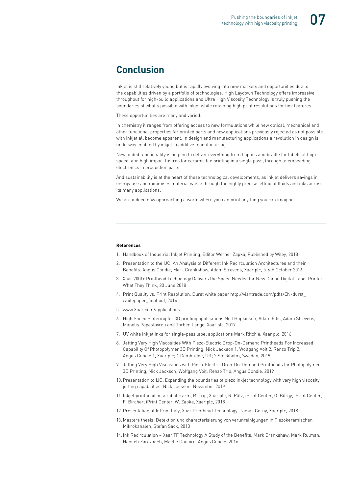# **Conclusion**

Inkjet is still relatively young but is rapidly evolving into new markets and opportunities due to the capabilities driven by a portfolio of technologies. High Laydown Technology offers impressive throughput for high-build applications and Ultra High Viscosity Technology is truly pushing the boundaries of what's possible with inkjet while retaining high print resolutions for fine features.

These opportunities are many and varied.

In chemistry it ranges from offering access to new formulations while new optical, mechanical and other functional properties for printed parts and new applications previously rejected as not possible with inkjet all become apparent. In design and manufacturing applications a revolution in design is underway enabled by inkjet in additive manufacturing.

New added functionality is helping to deliver everything from haptics and braille for labels at high speed, and high impact lustres for ceramic tile printing in a single pass, through to embedding electronics in production parts.

And sustainability is at the heart of these technological developments, as inkjet delivers savings in energy use and minimises material waste through the highly precise jetting of fluids and inks across its many applications.

We are indeed now approaching a world where you can print anything you can imagine.

### **References**

- 1. Handbook of Industrial Inkjet Printing, Editor Werner Zapka, Published by Wiley, 2018
- 2. Presentation to the IJC: An Analysis of Different Ink Recirculation Architectures and their Benefits. Angus Condie, Mark Crankshaw, Adam Strevens, Xaar plc, 5-6th October 2016
- 3. Xaar 2001+ Printhead Technology Delivers the Speed Needed for New Canon Digital Label Printer, What They Think, 20 June 2018
- 4. Print Quality vs. Print Resolution, Durst white paper http://viantrade.com/pdfs/EN-durst\_ whitepaper\_final.pdf, 2014
- 5. www.Xaar.com/applications
- 6. High Speed Sintering for 3D printing applications Neil Hopkinson, Adam Ellis, Adam Strevens, Manolis Papastavrou and Torben Lange, Xaar plc, 2017
- 7. UV white inkjet inks for single-pass label applications Mark Ritchie, Xaar plc, 2016
- 8. Jetting Very High Viscosities With Piezo-Electric Drop-On-Demand Printheads For Increased Capability Of Photopolymer 3D Printing, Nick Jackson 1, Wolfgang Voit 2, Renzo Trip 2, Angus Condie 1, Xaar plc; 1 Cambridge, UK; 2 Stockholm, Sweden, 2019
- 9. Jetting Very High Viscosities with Piezo-Electric Drop-On-Demand Printheads for Photopolymer 3D Printing, Nick Jackson, Wolfgang Voit, Renzo Trip, Angus Condie, 2019
- 10. Presentation to IJC: Expanding the boundaries of piezo inkjet technology with very high viscosity jetting capabilities. Nick Jackson, November 2019
- 11. Inkjet printhead on a robotic arm, R. Trip, Xaar plc, R. Rätz, iPrint Center, O. Bürgy, iPrint Center, F. Bircher, iPrint Center, W. Zapka, Xaar plc, 2018
- 12. Presentation at InPrint Italy, Xaar Printhead Technology, Tomas Cerny, Xaar plc, 2018
- 13. Masters thesis: Detektion und characterisierung von verunreinigungen in Piezokeramischen Mikrokanälen, Stefan Sack, 2013
- 14. Ink Recirculation Xaar TF Technology A Study of the Benefits, Mark Crankshaw, Mark Rulman, Hanifeh Zarezadeh, Maëlle Douaire, Angus Condie, 2016